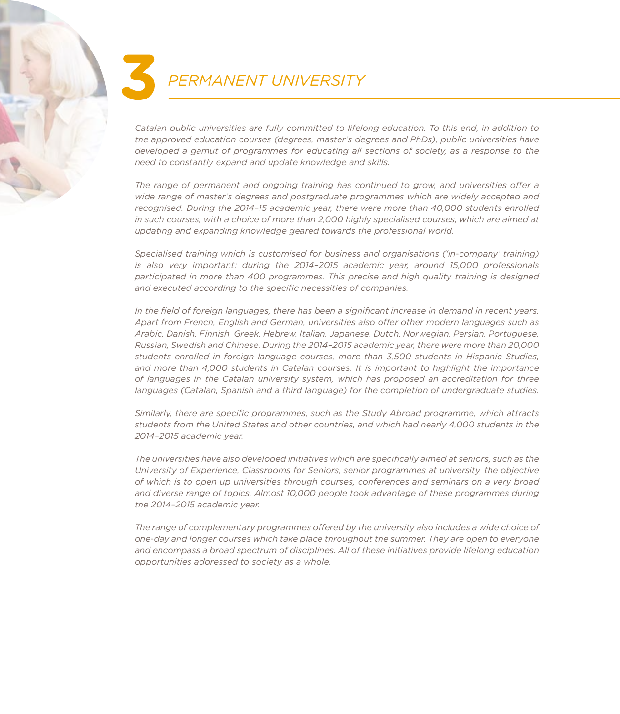

*Catalan public universities are fully committed to lifelong education. To this end, in addition to the approved education courses (degrees, master's degrees and PhDs), public universities have developed a gamut of programmes for educating all sections of society, as a response to the need to constantly expand and update knowledge and skills.*

*The range of permanent and ongoing training has continued to grow, and universities ofer a wide range of master's degrees and postgraduate programmes which are widely accepted and recognised. During the 2014–15 academic year, there were more than 40,000 students enrolled in such courses, with a choice of more than 2,000 highly specialised courses, which are aimed at updating and expanding knowledge geared towards the professional world.*

*Specialised training which is customised for business and organisations ('in-company' training) is also very important: during the 2014–2015 academic year, around 15,000 professionals participated in more than 400 programmes. This precise and high quality training is designed and executed according to the specific necessities of companies.*

*In the field of foreign languages, there has been a significant increase in demand in recent years. Apart from French, English and German, universities also ofer other modern languages such as Arabic, Danish, Finnish, Greek, Hebrew, Italian, Japanese, Dutch, Norwegian, Persian, Portuguese, Russian, Swedish and Chinese. During the 2014–2015 academic year, there were more than 20,000 students enrolled in foreign language courses, more than 3,500 students in Hispanic Studies, and more than 4,000 students in Catalan courses. It is important to highlight the importance of languages in the Catalan university system, which has proposed an accreditation for three languages (Catalan, Spanish and a third language) for the completion of undergraduate studies.*

*Similarly, there are specific programmes, such as the Study Abroad programme, which attracts students from the United States and other countries, and which had nearly 4,000 students in the 2014–2015 academic year.*

*The universities have also developed initiatives which are specifically aimed at seniors, such as the University of Experience, Classrooms for Seniors, senior programmes at university, the objective of which is to open up universities through courses, conferences and seminars on a very broad and diverse range of topics. Almost 10,000 people took advantage of these programmes during the 2014–2015 academic year.*

*The range of complementary programmes ofered by the university also includes a wide choice of one-day and longer courses which take place throughout the summer. They are open to everyone and encompass a broad spectrum of disciplines. All of these initiatives provide lifelong education opportunities addressed to society as a whole.*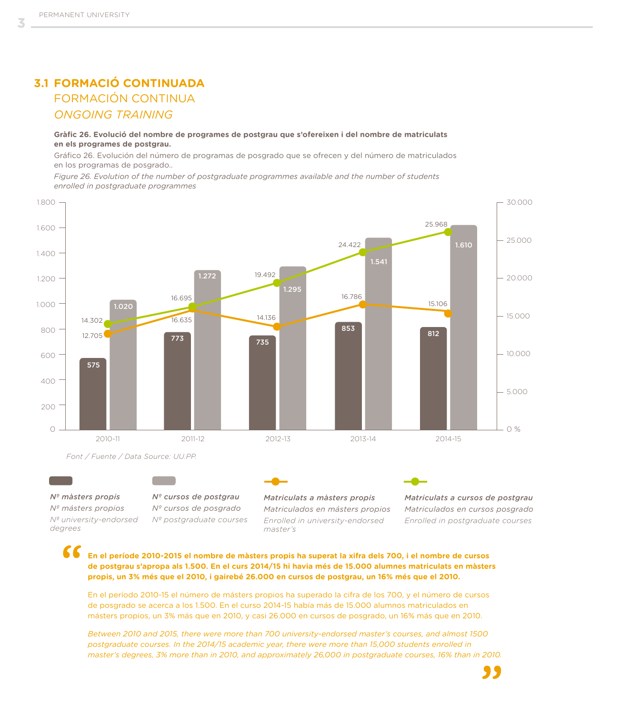## **3.1 FORMACIÓ CONTINUADA** *ONGOING TRAINING* FORMACIÓN CONTINUA

**Gràfic 26. Evolució del nombre de programes de postgrau que s'ofereixen i del nombre de matriculats en els programes de postgrau.**

Gráfico 26. Evolución del número de programas de posgrado que se ofrecen y del número de matriculados en los programas de posgrado..

*Figure 26. Evolution of the number of postgraduate programmes available and the number of students enrolled in postgraduate programmes*



#### *Nº màsters propis*

*Nº másters propios Nº university-endorsed degrees*

*Nº cursos de postgrau Nº cursos de posgrado Nº postgraduate courses* *Matriculats a màsters propis Matriculados en másters propios Enrolled in university-endorsed master's* 

*Matriculats a cursos de postgrau Matriculados en cursos posgrado Enrolled in postgraduate courses*

**En el període 2010-2015 el nombre de màsters propis ha superat la xifra dels 700, i el nombre de cursos de postgrau s'apropa als 1.500. En el curs 2014/15 hi havia més de 15.000 alumnes matriculats en màsters propis, un 3% més que el 2010, i gairebé 26.000 en cursos de postgrau, un 16% més que el 2010.**

En el período 2010-15 el número de másters propios ha superado la cifra de los 700, y el número de cursos de posgrado se acerca a los 1.500. En el curso 2014-15 había más de 15.000 alumnos matriculados en másters propios, un 3% más que en 2010, y casi 26.000 en cursos de posgrado, un 16% más que en 2010.

*Between 2010 and 2015, there were more than 700 university-endorsed master's courses, and almost 1500 postgraduate courses. In the 2014/15 academic year, there were more than 15,000 students enrolled in master's degrees, 3% more than in 2010, and approximately 26,000 in postgraduate courses, 16% than in 2010.*

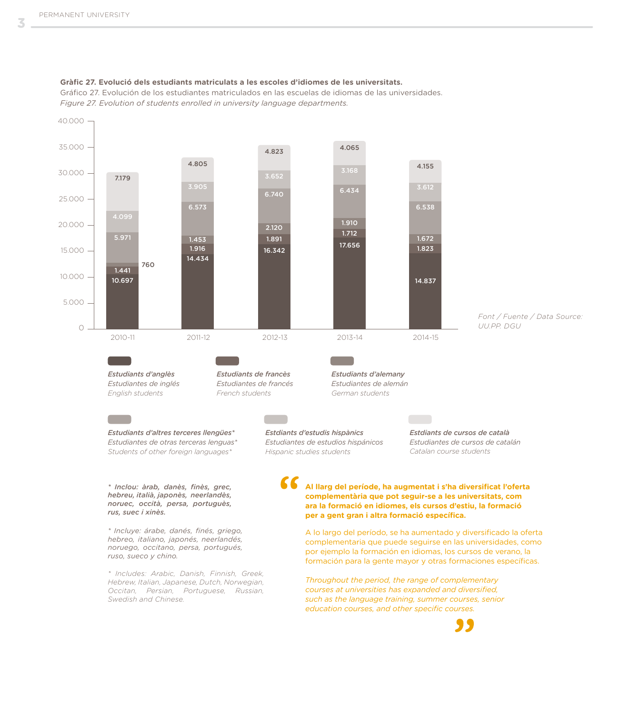

Gráfico 27. Evolución de los estudiantes matriculados en las escuelas de idiomas de las universidades. *Figure 27. Evolution of students enrolled in university language departments.*

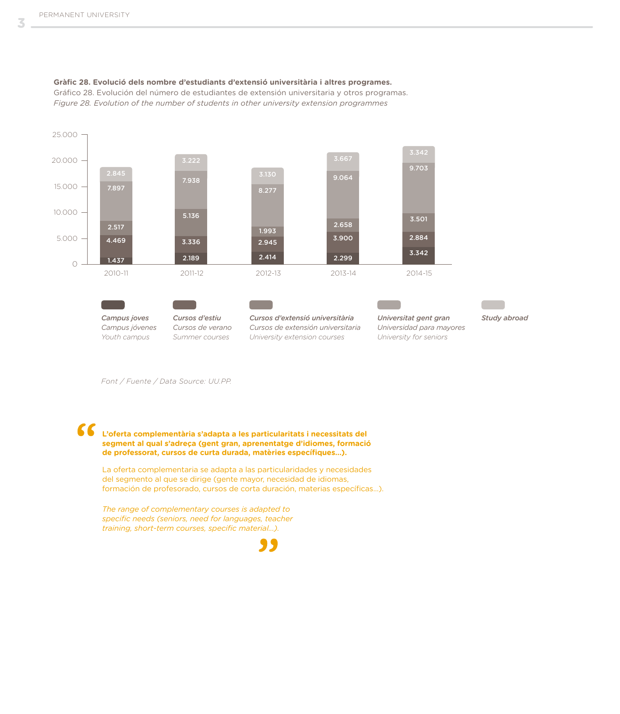3



**Gràfic 28. Evolució dels nombre d'estudiants d'extensió universitària i altres programes.**

Gráfico 28. Evolución del número de estudiantes de extensión universitaria y otros programas. *Figure 28. Evolution of the number of students in other university extension programmes* 

*Font / Fuente / Data Source: UU.PP.*

# $\epsilon$

### **L'oferta complementària s'adapta a les particularitats i necessitats del segment al qual s'adreça (gent gran, aprenentatge d'idiomes, formació de professorat, cursos de curta durada, matèries específiques...).**

La oferta complementaria se adapta a las particularidades y necesidades del segmento al que se dirige (gente mayor, necesidad de idiomas, formación de profesorado, cursos de corta duración, materias específicas...).

*The range of complementary courses is adapted to specific needs (seniors, need for languages, teacher training, short-term courses, specific material...).*